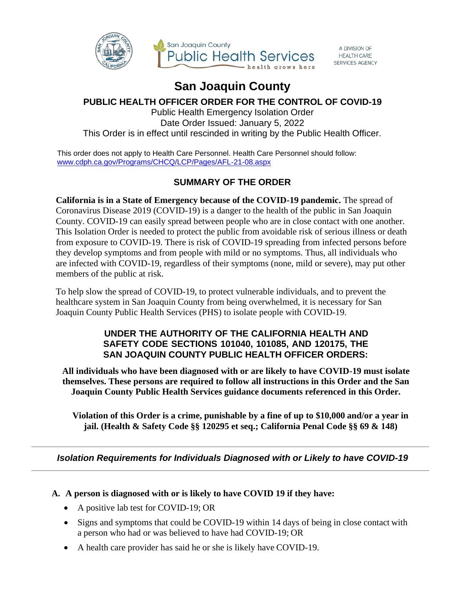

#### A DIVISION OF SERVICES AGENCY

# **San Joaquin County**

# **PUBLIC HEALTH OFFICER ORDER FOR THE CONTROL OF COVID-19**

Public Health Emergency Isolation Order Date Order Issued: January 5, 2022 This Order is in effect until rescinded in writing by the Public Health Officer.

This order does not apply to Health Care Personnel. Health Care Personnel should follow: [www.cdph.ca.gov/Programs/CHCQ/LCP/Pages/AFL-21-08.aspx](http://www.cdph.ca.gov/Programs/CHCQ/LCP/Pages/AFL-21-08.aspx)

# **SUMMARY OF THE ORDER**

**California is in a State of Emergency because of the COVID-19 pandemic.** The spread of Coronavirus Disease 2019 (COVID-19) is a danger to the health of the public in San Joaquin County. COVID-19 can easily spread between people who are in close contact with one another. This Isolation Order is needed to protect the public from avoidable risk of serious illness or death from exposure to COVID-19. There is risk of COVID-19 spreading from infected persons before they develop symptoms and from people with mild or no symptoms. Thus, all individuals who are infected with COVID-19, regardless of their symptoms (none, mild or severe), may put other members of the public at risk.

To help slow the spread of COVID-19, to protect vulnerable individuals, and to prevent the healthcare system in San Joaquin County from being overwhelmed, it is necessary for San Joaquin County Public Health Services (PHS) to isolate people with COVID-19.

# **UNDER THE AUTHORITY OF THE CALIFORNIA HEALTH AND SAFETY CODE SECTIONS 101040, 101085, AND 120175, THE SAN JOAQUIN COUNTY PUBLIC HEALTH OFFICER ORDERS:**

**All individuals who have been diagnosed with or are likely to have COVID-19 must isolate themselves. These persons are required to follow all instructions in this Order and the San Joaquin County Public Health Services guidance documents referenced in this Order.**

**Violation of this Order is a crime, punishable by a fine of up to \$10,000 and/or a year in jail. (Health & Safety Code §§ 120295 et seq.; California Penal Code §§ 69 & 148)**

*Isolation Requirements for Individuals Diagnosed with or Likely to have COVID-19*

# **A. A person is diagnosed with or is likely to have COVID 19 if they have:**

- A positive lab test for COVID-19; OR
- Signs and symptoms that could be COVID-19 within 14 days of being in close contact with a person who had or was believed to have had COVID-19; OR
- A health care provider has said he or she is likely have COVID-19.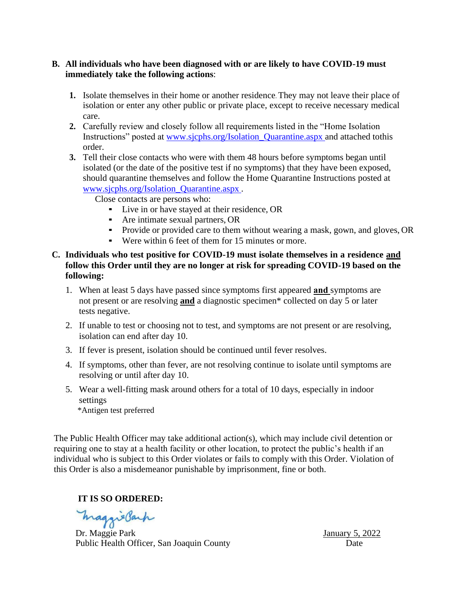### **B. All individuals who have been diagnosed with or are likely to have COVID-19 must immediately take the following actions**:

- **1.** Isolate themselves in their home or another residence. They may not leave their place of isolation or enter any other public or private place, except to receive necessary medical care.
- **2.** Carefully review and closely follow all requirements listed in the "Home Isolation Instructions" posted at [www.sjcphs.org/Isolation\\_Quarantine.aspx a](http://www.sjcphs.org/Isolation_Quarantine.aspx)nd attached tothis order.
- **3.** Tell their close contacts who were with them 48 hours before symptoms began until isolated (or the date of the positive test if no symptoms) that they have been exposed, should quarantine themselves and follow the Home Quarantine Instructions posted at [www.sjcphs.org/Isolation\\_Quarantine.aspx](http://www.sjcphs.org/Isolation_Quarantine.aspx) .

Close contacts are persons who:

- Live in or have stayed at their residence, OR
- Are intimate sexual partners, OR
- Provide or provided care to them without wearing a mask, gown, and gloves, OR
- Were within 6 feet of them for 15 minutes or more.

### **C. Individuals who test positive for COVID-19 must isolate themselves in a residence and follow this Order until they are no longer at risk for spreading COVID-19 based on the following:**

- 1. When at least 5 days have passed since symptoms first appeared **and** symptoms are not present or are resolving **and** a diagnostic specimen\* collected on day 5 or later tests negative.
- 2. If unable to test or choosing not to test, and symptoms are not present or are resolving, isolation can end after day 10.
- 3. If fever is present, isolation should be continued until fever resolves.
- 4. If symptoms, other than fever, are not resolving continue to isolate until symptoms are resolving or until after day 10.
- 5. Wear a well-fitting mask around others for a total of 10 days, especially in indoor settings

\*Antigen test preferred

The Public Health Officer may take additional action(s), which may include civil detention or requiring one to stay at a health facility or other location, to protect the public's health if an individual who is subject to this Order violates or fails to comply with this Order. Violation of this Order is also a misdemeanor punishable by imprisonment, fine or both.

**IT IS SO ORDERED:**

maggieBach

Dr. Maggie Park January 5, 2022 Public Health Officer, San Joaquin County Date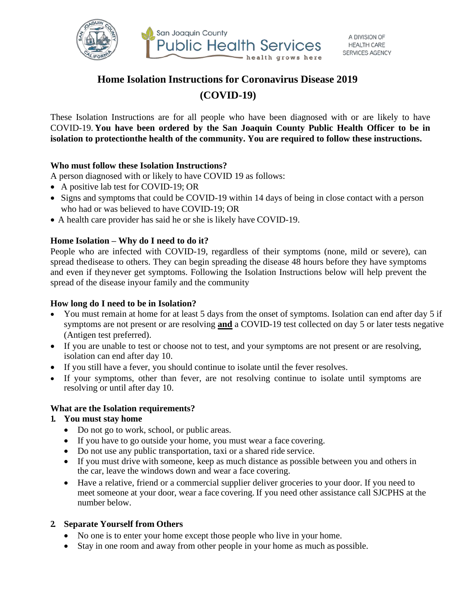

# **Home Isolation Instructions for Coronavirus Disease 2019 (COVID-19)**

These Isolation Instructions are for all people who have been diagnosed with or are likely to have COVID-19. **You have been ordered by the San Joaquin County Public Health Officer to be in isolation to protectionthe health of the community. You are required to follow these instructions.**

### **Who must follow these Isolation Instructions?**

A person diagnosed with or likely to have COVID 19 as follows:

- A positive lab test for COVID-19; OR
- Signs and symptoms that could be COVID-19 within 14 days of being in close contact with a person who had or was believed to have COVID-19; OR
- A health care provider has said he or she is likely have COVID-19.

### **Home Isolation – Why do I need to do it?**

People who are infected with COVID-19, regardless of their symptoms (none, mild or severe), can spread thedisease to others. They can begin spreading the disease 48 hours before they have symptoms and even if theynever get symptoms. Following the Isolation Instructions below will help prevent the spread of the disease inyour family and the community

#### **How long do I need to be in Isolation?**

- You must remain at home for at least 5 days from the onset of symptoms. Isolation can end after day 5 if symptoms are not present or are resolving **and** a COVID-19 test collected on day 5 or later tests negative (Antigen test preferred).
- If you are unable to test or choose not to test, and your symptoms are not present or are resolving, isolation can end after day 10.
- If you still have a fever, you should continue to isolate until the fever resolves.
- If your symptoms, other than fever, are not resolving continue to isolate until symptoms are resolving or until after day 10.

#### **What are the Isolation requirements?**

#### **1. You must stay home**

- Do not go to work, school, or public areas.
- If you have to go outside your home, you must wear a face covering.
- Do not use any public transportation, taxi or a shared ride service.
- If you must drive with someone, keep as much distance as possible between you and others in the car, leave the windows down and wear a face covering.
- Have a relative, friend or a commercial supplier deliver groceries to your door. If you need to meet someone at your door, wear a face covering. If you need other assistance call SJCPHS at the number below.

## **2. Separate Yourself from Others**

- No one is to enter your home except those people who live in your home.
- Stay in one room and away from other people in your home as much as possible.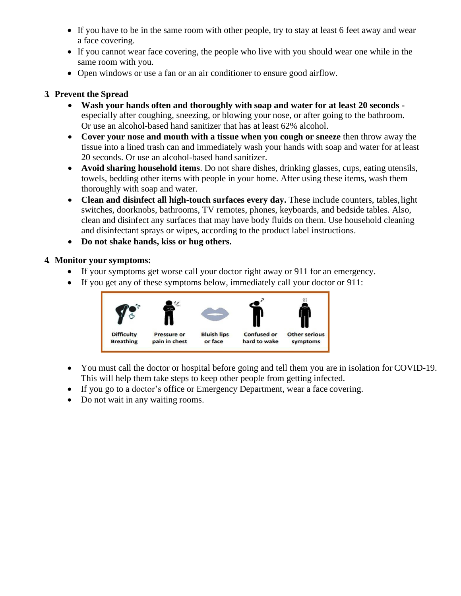- If you have to be in the same room with other people, try to stay at least 6 feet away and wear a face covering.
- If you cannot wear face covering, the people who live with you should wear one while in the same room with you.
- Open windows or use a fan or an air conditioner to ensure good airflow.

# **3. Prevent the Spread**

- **Wash your hands often and thoroughly with soap and water for at least 20 seconds**  especially after coughing, sneezing, or blowing your nose, or after going to the bathroom. Or use an alcohol-based hand sanitizer that has at least 62% alcohol.
- **Cover your nose and mouth with a tissue when you cough or sneeze** then throw away the tissue into a lined trash can and immediately wash your hands with soap and water for at least 20 seconds. Or use an alcohol-based hand sanitizer.
- **Avoid sharing household items**. Do not share dishes, drinking glasses, cups, eating utensils, towels, bedding other items with people in your home. After using these items, wash them thoroughly with soap and water.
- **Clean and disinfect all high-touch surfaces every day.** These include counters, tables,light switches, doorknobs, bathrooms, TV remotes, phones, keyboards, and bedside tables. Also, clean and disinfect any surfaces that may have body fluids on them. Use household cleaning and disinfectant sprays or wipes, according to the product label instructions.
- **Do not shake hands, kiss or hug others.**

## **4. Monitor your symptoms:**

- If your symptoms get worse call your doctor right away or 911 for an emergency.
- If you get any of these symptoms below, immediately call your doctor or 911:



- You must call the doctor or hospital before going and tell them you are in isolation for COVID-19. This will help them take steps to keep other people from getting infected.
- If you go to a doctor's office or Emergency Department, wear a face covering.
- Do not wait in any waiting rooms.